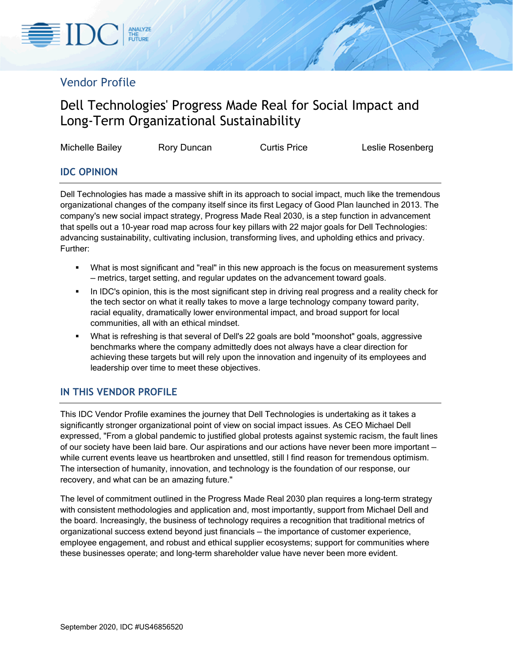## Vendor Profile

≣IDC

# Dell Technologies' Progress Made Real for Social Impact and Long-Term Organizational Sustainability

Michelle Bailey **Rory Duncan** Curtis Price **Curtis Price** Leslie Rosenberg

## **IDC OPINION**

Dell Technologies has made a massive shift in its approach to social impact, much like the tremendous organizational changes of the company itself since its first Legacy of Good Plan launched in 2013. The company's new social impact strategy, Progress Made Real 2030, is a step function in advancement that spells out a 10-year road map across four key pillars with 22 major goals for Dell Technologies: advancing sustainability, cultivating inclusion, transforming lives, and upholding ethics and privacy. Further:

- What is most significant and "real" in this new approach is the focus on measurement systems — metrics, target setting, and regular updates on the advancement toward goals.
- In IDC's opinion, this is the most significant step in driving real progress and a reality check for the tech sector on what it really takes to move a large technology company toward parity, racial equality, dramatically lower environmental impact, and broad support for local communities, all with an ethical mindset.
- What is refreshing is that several of Dell's 22 goals are bold "moonshot" goals, aggressive benchmarks where the company admittedly does not always have a clear direction for achieving these targets but will rely upon the innovation and ingenuity of its employees and leadership over time to meet these objectives.

## **IN THIS VENDOR PROFILE**

This IDC Vendor Profile examines the journey that Dell Technologies is undertaking as it takes a significantly stronger organizational point of view on social impact issues. As CEO Michael Dell expressed, "From a global pandemic to justified global protests against systemic racism, the fault lines of our society have been laid bare. Our aspirations and our actions have never been more important while current events leave us heartbroken and unsettled, still I find reason for tremendous optimism. The intersection of humanity, innovation, and technology is the foundation of our response, our recovery, and what can be an amazing future."

The level of commitment outlined in the Progress Made Real 2030 plan requires a long-term strategy with consistent methodologies and application and, most importantly, support from Michael Dell and the board. Increasingly, the business of technology requires a recognition that traditional metrics of organizational success extend beyond just financials — the importance of customer experience, employee engagement, and robust and ethical supplier ecosystems; support for communities where these businesses operate; and long-term shareholder value have never been more evident.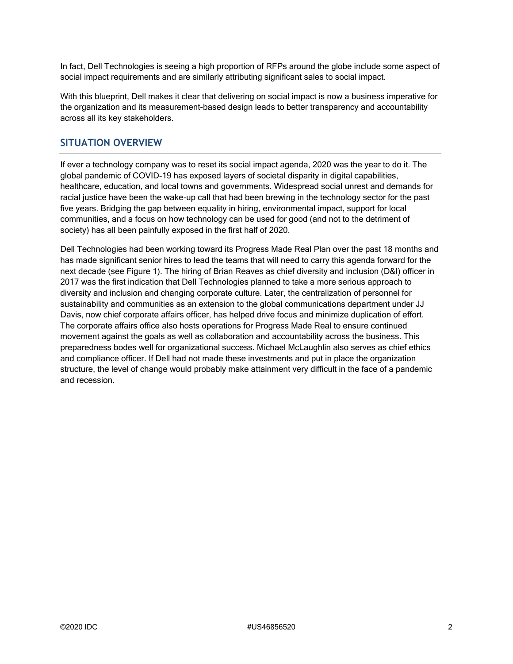In fact, Dell Technologies is seeing a high proportion of RFPs around the globe include some aspect of social impact requirements and are similarly attributing significant sales to social impact.

With this blueprint, Dell makes it clear that delivering on social impact is now a business imperative for the organization and its measurement-based design leads to better transparency and accountability across all its key stakeholders.

### **SITUATION OVERVIEW**

If ever a technology company was to reset its social impact agenda, 2020 was the year to do it. The global pandemic of COVID-19 has exposed layers of societal disparity in digital capabilities, healthcare, education, and local towns and governments. Widespread social unrest and demands for racial justice have been the wake-up call that had been brewing in the technology sector for the past five years. Bridging the gap between equality in hiring, environmental impact, support for local communities, and a focus on how technology can be used for good (and not to the detriment of society) has all been painfully exposed in the first half of 2020.

Dell Technologies had been working toward its Progress Made Real Plan over the past 18 months and has made significant senior hires to lead the teams that will need to carry this agenda forward for the next decade (see Figure 1). The hiring of Brian Reaves as chief diversity and inclusion (D&I) officer in 2017 was the first indication that Dell Technologies planned to take a more serious approach to diversity and inclusion and changing corporate culture. Later, the centralization of personnel for sustainability and communities as an extension to the global communications department under JJ Davis, now chief corporate affairs officer, has helped drive focus and minimize duplication of effort. The corporate affairs office also hosts operations for Progress Made Real to ensure continued movement against the goals as well as collaboration and accountability across the business. This preparedness bodes well for organizational success. Michael McLaughlin also serves as chief ethics and compliance officer. If Dell had not made these investments and put in place the organization structure, the level of change would probably make attainment very difficult in the face of a pandemic and recession.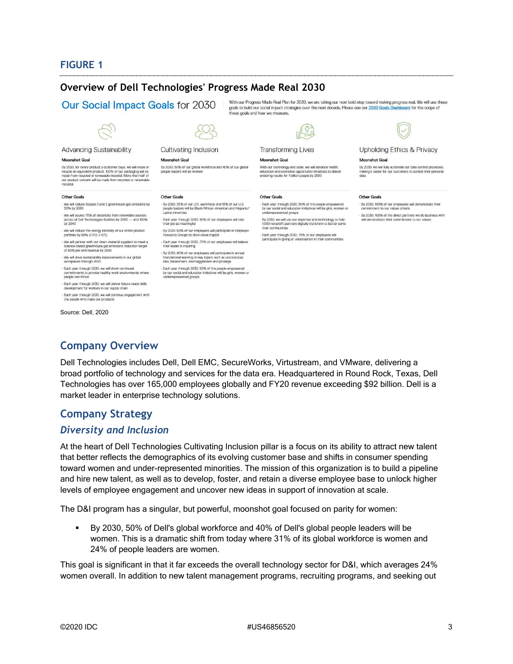### **FIGURE 1**

## **Overview of Dell Technologies' Progress Made Real 2030**

Our Social Impact Goals for 2030



Advancing Sustainability

#### **Moonshot Goal**

By 2030, for every product a customer buys, we will reuse or procession of the material contains a construction of the material product. To the material contains and the material contains and the material contains and the material contains and contains a contain the material. More t material

#### **Other Goals**

- -<br>We will reduce Scopes 1 and 2 greenhouse gas emissions by<br>50% by 2030
- We will source 75% of electricity from renewable sources<br>across all Dell Technologies facilities by 2030 and 100%<br>by 2040
- We will reduce the energy intensity of our entire product<br>portfolio by 80% (FY12-FY21)
- .<br>We will partner with our direct material suppliers to meet a<br>science-based greenhouse gas emissions reduction target<br>of 60% per unit revenue by 2030
- We will drive sustainability improvements in our global<br>workplaces through 2030
- Each year through 2030, we will show continued<br>commitments to provide healthy work environments where<br>people can thrive
- .<br>Each year through 2030, we will deliver future<br>development for workers in our supply chain ver future-ready skills
- Each year through 2030, we will continue engagement with<br>the people who make our products

Source: Dell, 2020



### Cultivating Inclusion

**Moonshot Goal** 

By 2030, 50% of our global workforce and 40% of our global people leaders will be women

#### Other Goals

By 2030, 25% of our U.S. workforce and 15% of our U.S.<br>people leaders will be Black/African American and Hispanic/<br>Latino minorities

- Each year through 2030, 90% of our employees will rate<br>their job as meaningful
- By 2030, 50% of our employees will pa<br>Resource Groups to drive social impact will participate in Employee
- · Each year through 2030, 75% of our employees will believe<br>their leader is inspiring
- By 2030, 95% of our employees will participate in annual<br>foundational learning on key topics such as unconscious<br>bias, harassment, microaggression and privilege

Each year through 2030, 50% of the people empowered<br>by our social and education initiatives will be girls, women or<br>underrepresented groups



With our Progress Made Real Plan for 2030, we are taking our next bold step toward making progress real. We will use these

goals to build our social impact strategies over the next decade. Please see our 2030 Goals Dashboard for the scope of<br>these goals and how we measure.

#### **Transforming Lives**

#### **Moonshot Goal**

With our technology and scale, we will advance health, education and economic opportunity initiatives to deliver<br>enduring results for 1 billion people by 2030

#### Other Goals

Each year through 2030, 50% of the people empower<br>by our social and education initiatives will be girls, wor<br>underrepresented groups

- By 2030, we will use our expertise and technology to help<br>1,000 nonprofit partners digitally transform to better serve<br>their communities
- Each year through 2030, 75% of our employees<br>narticinate in giving or volunteerism in their com te in giving or vo



### **Upholding Ethics & Privacy**

#### **Moonshot Goal**

By 2030, we will fully automate our data control proce By 2030, we will fully automate our data control processes,<br>making it easier for our customers to control their personal<br>data

#### Other Goals

By 2030, 100% of our employees will demonstrate their<br>commitment to our values criteria

.<br>By 2030, 100% of the direct partners we do business with<br>will demonstrate their commitment to our values

## **Company Overview**

Dell Technologies includes Dell, Dell EMC, SecureWorks, Virtustream, and VMware, delivering a broad portfolio of technology and services for the data era. Headquartered in Round Rock, Texas, Dell Technologies has over 165,000 employees globally and FY20 revenue exceeding \$92 billion. Dell is a market leader in enterprise technology solutions.

### **Company Strategy**

### *Diversity and Inclusion*

At the heart of Dell Technologies Cultivating Inclusion pillar is a focus on its ability to attract new talent that better reflects the demographics of its evolving customer base and shifts in consumer spending toward women and under-represented minorities. The mission of this organization is to build a pipeline and hire new talent, as well as to develop, foster, and retain a diverse employee base to unlock higher levels of employee engagement and uncover new ideas in support of innovation at scale.

The D&I program has a singular, but powerful, moonshot goal focused on parity for women:

 By 2030, 50% of Dell's global workforce and 40% of Dell's global people leaders will be women. This is a dramatic shift from today where 31% of its global workforce is women and 24% of people leaders are women.

This goal is significant in that it far exceeds the overall technology sector for D&I, which averages 24% women overall. In addition to new talent management programs, recruiting programs, and seeking out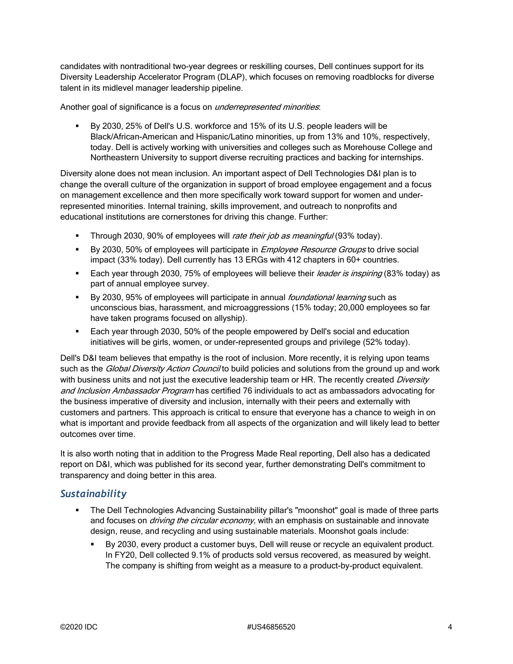candidates with nontraditional two-year degrees or reskilling courses, Dell continues support for its Diversity Leadership Accelerator Program (DLAP), which focuses on removing roadblocks for diverse talent in its midlevel manager leadership pipeline.

### Another goal of significance is a focus on *underrepresented minorities*:

 By 2030, 25% of Dell's U.S. workforce and 15% of its U.S. people leaders will be Black/African-American and Hispanic/Latino minorities, up from 13% and 10%, respectively, today. Dell is actively working with universities and colleges such as Morehouse College and Northeastern University to support diverse recruiting practices and backing for internships.

Diversity alone does not mean inclusion. An important aspect of Dell Technologies D&I plan is to change the overall culture of the organization in support of broad employee engagement and a focus on management excellence and then more specifically work toward support for women and underrepresented minorities. Internal training, skills improvement, and outreach to nonprofits and educational institutions are cornerstones for driving this change. Further:

- Through 2030, 90% of employees will *rate their job as meaningful* (93% today).
- By 2030, 50% of employees will participate in *Employee Resource Groups* to drive social impact (33% today). Dell currently has 13 ERGs with 412 chapters in 60+ countries.
- Each year through 2030, 75% of employees will believe their *leader is inspiring* (83% today) as part of annual employee survey.
- By 2030, 95% of employees will participate in annual *foundational learning* such as unconscious bias, harassment, and microaggressions (15% today; 20,000 employees so far have taken programs focused on allyship).
- Each year through 2030, 50% of the people empowered by Dell's social and education initiatives will be girls, women, or under-represented groups and privilege (52% today).

Dell's D&I team believes that empathy is the root of inclusion. More recently, it is relying upon teams such as the Global Diversity Action Council to build policies and solutions from the ground up and work with business units and not just the executive leadership team or HR. The recently created Diversity and Inclusion Ambassador Program has certified 76 individuals to act as ambassadors advocating for the business imperative of diversity and inclusion, internally with their peers and externally with customers and partners. This approach is critical to ensure that everyone has a chance to weigh in on what is important and provide feedback from all aspects of the organization and will likely lead to better outcomes over time.

It is also worth noting that in addition to the Progress Made Real reporting, Dell also has a dedicated report on D&I, which was published for its second year, further demonstrating Dell's commitment to transparency and doing better in this area.

### *Sustainability*

- The Dell Technologies Advancing Sustainability pillar's "moonshot" goal is made of three parts and focuses on *driving the circular economy,* with an emphasis on sustainable and innovate design, reuse, and recycling and using sustainable materials. Moonshot goals include:
	- By 2030, every product a customer buys, Dell will reuse or recycle an equivalent product. In FY20, Dell collected 9.1% of products sold versus recovered, as measured by weight. The company is shifting from weight as a measure to a product-by-product equivalent.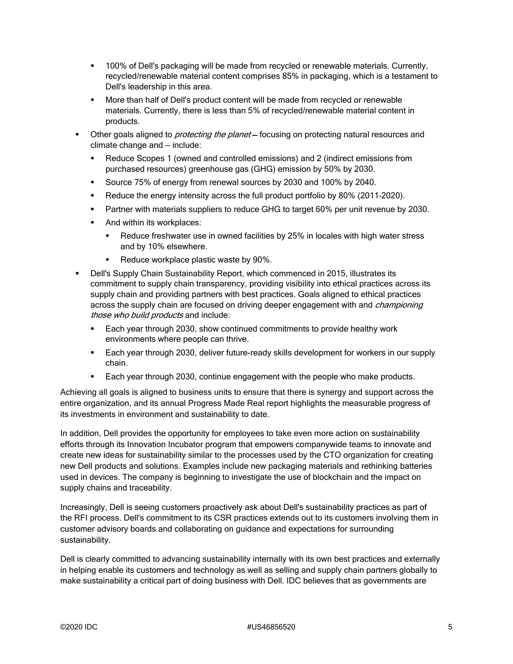- 100% of Dell's packaging will be made from recycled or renewable materials. Currently, recycled/renewable material content comprises 85% in packaging, which is a testament to Dell's leadership in this area.
- **More than half of Dell's product content will be made from recycled or renewable** materials. Currently, there is less than 5% of recycled/renewable material content in products.
- Other goals aligned to *protecting the planet* focusing on protecting natural resources and climate change and — include:
	- Reduce Scopes 1 (owned and controlled emissions) and 2 (indirect emissions from purchased resources) greenhouse gas (GHG) emission by 50% by 2030.
	- Source 75% of energy from renewal sources by 2030 and 100% by 2040.
	- Reduce the energy intensity across the full product portfolio by 80% (2011–2020).
	- **Partner with materials suppliers to reduce GHG to target 60% per unit revenue by 2030.**
	- And within its workplaces:
		- Reduce freshwater use in owned facilities by 25% in locales with high water stress and by 10% elsewhere.
		- Reduce workplace plastic waste by 90%.
- Dell's Supply Chain Sustainability Report, which commenced in 2015, illustrates its commitment to supply chain transparency, providing visibility into ethical practices across its supply chain and providing partners with best practices. Goals aligned to ethical practices across the supply chain are focused on driving deeper engagement with and *championing* those who build products and include:
	- Each year through 2030, show continued commitments to provide healthy work environments where people can thrive.
	- Each year through 2030, deliver future-ready skills development for workers in our supply chain.
	- Each year through 2030, continue engagement with the people who make products.

Achieving all goals is aligned to business units to ensure that there is synergy and support across the entire organization, and its annual Progress Made Real report highlights the measurable progress of its investments in environment and sustainability to date.

In addition, Dell provides the opportunity for employees to take even more action on sustainability efforts through its Innovation Incubator program that empowers companywide teams to innovate and create new ideas for sustainability similar to the processes used by the CTO organization for creating new Dell products and solutions. Examples include new packaging materials and rethinking batteries used in devices. The company is beginning to investigate the use of blockchain and the impact on supply chains and traceability.

Increasingly, Dell is seeing customers proactively ask about Dell's sustainability practices as part of the RFI process. Dell's commitment to its CSR practices extends out to its customers involving them in customer advisory boards and collaborating on guidance and expectations for surrounding sustainability.

Dell is clearly committed to advancing sustainability internally with its own best practices and externally in helping enable its customers and technology as well as selling and supply chain partners globally to make sustainability a critical part of doing business with Dell. IDC believes that as governments are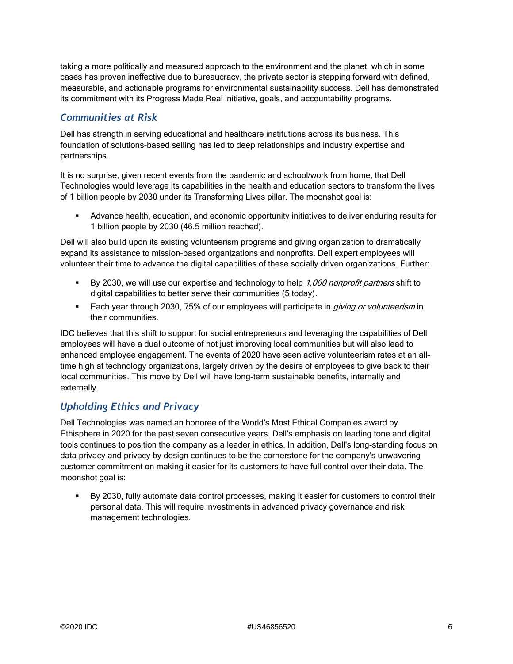taking a more politically and measured approach to the environment and the planet, which in some cases has proven ineffective due to bureaucracy, the private sector is stepping forward with defined, measurable, and actionable programs for environmental sustainability success. Dell has demonstrated its commitment with its Progress Made Real initiative, goals, and accountability programs.

## *Communities at Risk*

Dell has strength in serving educational and healthcare institutions across its business. This foundation of solutions-based selling has led to deep relationships and industry expertise and partnerships.

It is no surprise, given recent events from the pandemic and school/work from home, that Dell Technologies would leverage its capabilities in the health and education sectors to transform the lives of 1 billion people by 2030 under its Transforming Lives pillar. The moonshot goal is:

 Advance health, education, and economic opportunity initiatives to deliver enduring results for 1 billion people by 2030 (46.5 million reached).

Dell will also build upon its existing volunteerism programs and giving organization to dramatically expand its assistance to mission-based organizations and nonprofits. Dell expert employees will volunteer their time to advance the digital capabilities of these socially driven organizations. Further:

- By 2030, we will use our expertise and technology to help 1,000 nonprofit partners shift to digital capabilities to better serve their communities (5 today).
- Each year through 2030, 75% of our employees will participate in *giving or volunteerism* in their communities.

IDC believes that this shift to support for social entrepreneurs and leveraging the capabilities of Dell employees will have a dual outcome of not just improving local communities but will also lead to enhanced employee engagement. The events of 2020 have seen active volunteerism rates at an alltime high at technology organizations, largely driven by the desire of employees to give back to their local communities. This move by Dell will have long-term sustainable benefits, internally and externally.

## *Upholding Ethics and Privacy*

Dell Technologies was named an honoree of the World's Most Ethical Companies award by Ethisphere in 2020 for the past seven consecutive years. Dell's emphasis on leading tone and digital tools continues to position the company as a leader in ethics. In addition, Dell's long-standing focus on data privacy and privacy by design continues to be the cornerstone for the company's unwavering customer commitment on making it easier for its customers to have full control over their data. The moonshot goal is:

 By 2030, fully automate data control processes, making it easier for customers to control their personal data. This will require investments in advanced privacy governance and risk management technologies.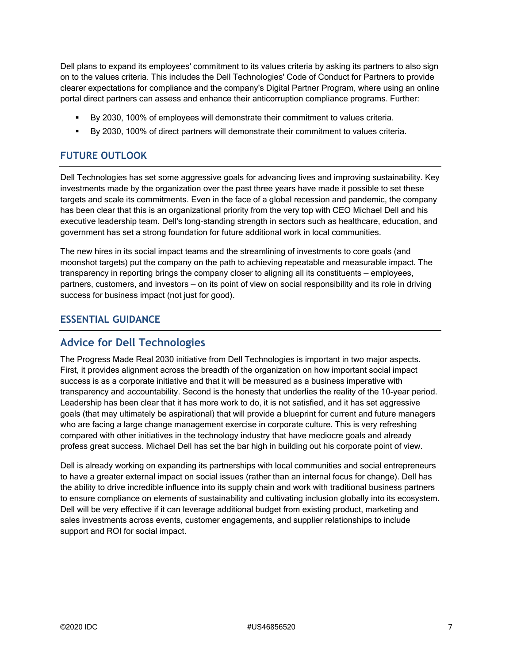Dell plans to expand its employees' commitment to its values criteria by asking its partners to also sign on to the values criteria. This includes the Dell Technologies' Code of Conduct for Partners to provide clearer expectations for compliance and the company's Digital Partner Program, where using an online portal direct partners can assess and enhance their anticorruption compliance programs. Further:

- By 2030, 100% of employees will demonstrate their commitment to values criteria.
- By 2030, 100% of direct partners will demonstrate their commitment to values criteria.

## **FUTURE OUTLOOK**

Dell Technologies has set some aggressive goals for advancing lives and improving sustainability. Key investments made by the organization over the past three years have made it possible to set these targets and scale its commitments. Even in the face of a global recession and pandemic, the company has been clear that this is an organizational priority from the very top with CEO Michael Dell and his executive leadership team. Dell's long-standing strength in sectors such as healthcare, education, and government has set a strong foundation for future additional work in local communities.

The new hires in its social impact teams and the streamlining of investments to core goals (and moonshot targets) put the company on the path to achieving repeatable and measurable impact. The transparency in reporting brings the company closer to aligning all its constituents — employees, partners, customers, and investors — on its point of view on social responsibility and its role in driving success for business impact (not just for good).

## **ESSENTIAL GUIDANCE**

## **Advice for Dell Technologies**

The Progress Made Real 2030 initiative from Dell Technologies is important in two major aspects. First, it provides alignment across the breadth of the organization on how important social impact success is as a corporate initiative and that it will be measured as a business imperative with transparency and accountability. Second is the honesty that underlies the reality of the 10-year period. Leadership has been clear that it has more work to do, it is not satisfied, and it has set aggressive goals (that may ultimately be aspirational) that will provide a blueprint for current and future managers who are facing a large change management exercise in corporate culture. This is very refreshing compared with other initiatives in the technology industry that have mediocre goals and already profess great success. Michael Dell has set the bar high in building out his corporate point of view.

Dell is already working on expanding its partnerships with local communities and social entrepreneurs to have a greater external impact on social issues (rather than an internal focus for change). Dell has the ability to drive incredible influence into its supply chain and work with traditional business partners to ensure compliance on elements of sustainability and cultivating inclusion globally into its ecosystem. Dell will be very effective if it can leverage additional budget from existing product, marketing and sales investments across events, customer engagements, and supplier relationships to include support and ROI for social impact.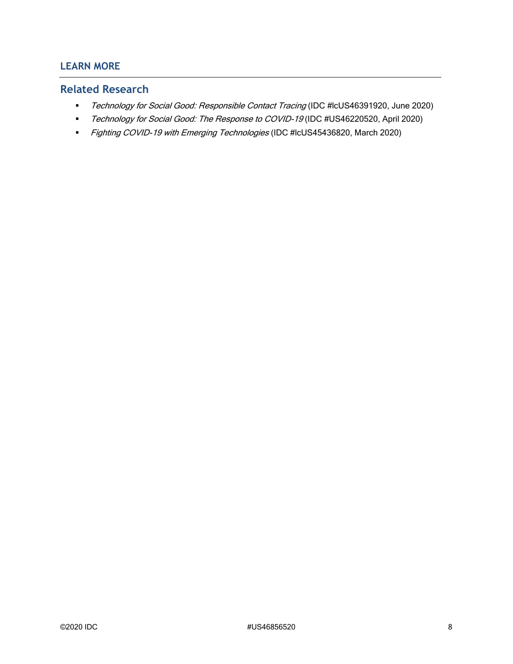## **LEARN MORE**

## **Related Research**

- Technology for Social Good: Responsible Contact Tracing (IDC #IcUS46391920, June 2020)
- Technology for Social Good: The Response to COVID-19 (IDC #US46220520, April 2020)
- Fighting COVID-19 with Emerging Technologies (IDC #IcUS45436820, March 2020)